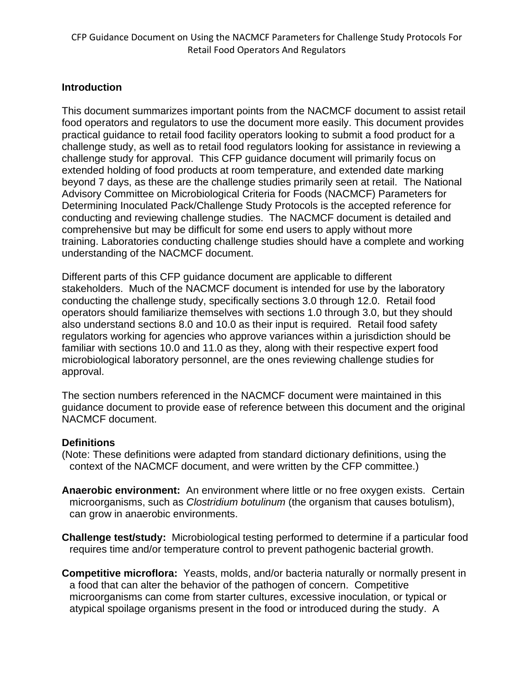#### **Introduction**

This document summarizes important points from the NACMCF document to assist retail food operators and regulators to use the document more easily. This document provides practical guidance to retail food facility operators looking to submit a food product for a challenge study, as well as to retail food regulators looking for assistance in reviewing a challenge study for approval. This CFP guidance document will primarily focus on extended holding of food products at room temperature, and extended date marking beyond 7 days, as these are the challenge studies primarily seen at retail. The National Advisory Committee on Microbiological Criteria for Foods (NACMCF) Parameters for Determining Inoculated Pack/Challenge Study Protocols is the accepted reference for conducting and reviewing challenge studies. The NACMCF document is detailed and comprehensive but may be difficult for some end users to apply without more training. Laboratories conducting challenge studies should have a complete and working understanding of the NACMCF document.

Different parts of this CFP guidance document are applicable to different stakeholders. Much of the NACMCF document is intended for use by the laboratory conducting the challenge study, specifically sections 3.0 through 12.0. Retail food operators should familiarize themselves with sections 1.0 through 3.0, but they should also understand sections 8.0 and 10.0 as their input is required. Retail food safety regulators working for agencies who approve variances within a jurisdiction should be familiar with sections 10.0 and 11.0 as they, along with their respective expert food microbiological laboratory personnel, are the ones reviewing challenge studies for approval.

The section numbers referenced in the NACMCF document were maintained in this guidance document to provide ease of reference between this document and the original NACMCF document.

#### **Definitions**

(Note: These definitions were adapted from standard dictionary definitions, using the context of the NACMCF document, and were written by the CFP committee.)

- **Anaerobic environment:** An environment where little or no free oxygen exists. Certain microorganisms, such as *Clostridium botulinum* (the organism that causes botulism), can grow in anaerobic environments.
- **Challenge test/study:** Microbiological testing performed to determine if a particular food requires time and/or temperature control to prevent pathogenic bacterial growth.
- **Competitive microflora:** Yeasts, molds, and/or bacteria naturally or normally present in a food that can alter the behavior of the pathogen of concern. Competitive microorganisms can come from starter cultures, excessive inoculation, or typical or atypical spoilage organisms present in the food or introduced during the study. A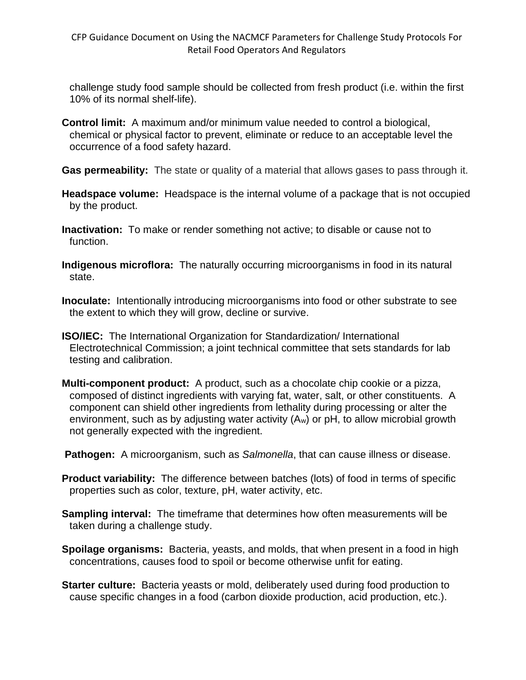challenge study food sample should be collected from fresh product (i.e. within the first 10% of its normal shelf-life).

- **Control limit:** A maximum and/or minimum value needed to control a biological, chemical or physical factor to prevent, eliminate or reduce to an acceptable level the occurrence of a food safety hazard.
- **Gas permeability:** The state or quality of a material that allows gases to pass through it.
- **Headspace volume:** Headspace is the internal volume of a package that is not occupied by the product.
- **Inactivation:** To make or render something not active; to disable or cause not to function.
- **Indigenous microflora:** The naturally occurring microorganisms in food in its natural state.
- **Inoculate:** Intentionally introducing microorganisms into food or other substrate to see the extent to which they will grow, decline or survive.
- **ISO/IEC:** The International Organization for Standardization/ International Electrotechnical Commission; a joint technical committee that sets standards for lab testing and calibration.
- **Multi-component product:** A product, such as a chocolate chip cookie or a pizza, composed of distinct ingredients with varying fat, water, salt, or other constituents. A component can shield other ingredients from lethality during processing or alter the environment, such as by adjusting water activity (Aw) or pH, to allow microbial growth not generally expected with the ingredient.
- **Pathogen:** A microorganism, such as *Salmonella*, that can cause illness or disease.
- **Product variability:** The difference between batches (lots) of food in terms of specific properties such as color, texture, pH, water activity, etc.
- **Sampling interval:** The timeframe that determines how often measurements will be taken during a challenge study.
- **Spoilage organisms:** Bacteria, yeasts, and molds, that when present in a food in high concentrations, causes food to spoil or become otherwise unfit for eating.
- **Starter culture:** Bacteria yeasts or mold, deliberately used during food production to cause specific changes in a food (carbon dioxide production, acid production, etc.).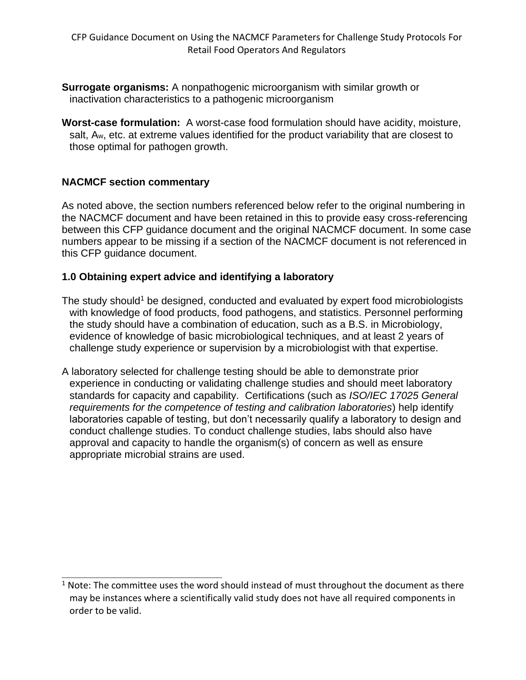- **Surrogate organisms:** A nonpathogenic microorganism with similar growth or inactivation characteristics to a pathogenic microorganism
- **Worst-case formulation:** A worst-case food formulation should have acidity, moisture, salt, Aw, etc. at extreme values identified for the product variability that are closest to those optimal for pathogen growth.

# **NACMCF section commentary**

**\_\_\_\_\_\_\_\_\_\_\_\_\_\_\_\_\_\_\_\_\_\_\_\_\_\_\_\_**

As noted above, the section numbers referenced below refer to the original numbering in the NACMCF document and have been retained in this to provide easy cross-referencing between this CFP guidance document and the original NACMCF document. In some case numbers appear to be missing if a section of the NACMCF document is not referenced in this CFP guidance document.

### **1.0 Obtaining expert advice and identifying a laboratory**

- The study should<sup>1</sup> be designed, conducted and evaluated by expert food microbiologists with knowledge of food products, food pathogens, and statistics. Personnel performing the study should have a combination of education, such as a B.S. in Microbiology, evidence of knowledge of basic microbiological techniques, and at least 2 years of challenge study experience or supervision by a microbiologist with that expertise.
- A laboratory selected for challenge testing should be able to demonstrate prior experience in conducting or validating challenge studies and should meet laboratory standards for capacity and capability. Certifications (such as *ISO/IEC 17025 General requirements for the competence of testing and calibration laboratories*) help identify laboratories capable of testing, but don't necessarily qualify a laboratory to design and conduct challenge studies. To conduct challenge studies, labs should also have approval and capacity to handle the organism(s) of concern as well as ensure appropriate microbial strains are used.

 $1$  Note: The committee uses the word should instead of must throughout the document as there may be instances where a scientifically valid study does not have all required components in order to be valid.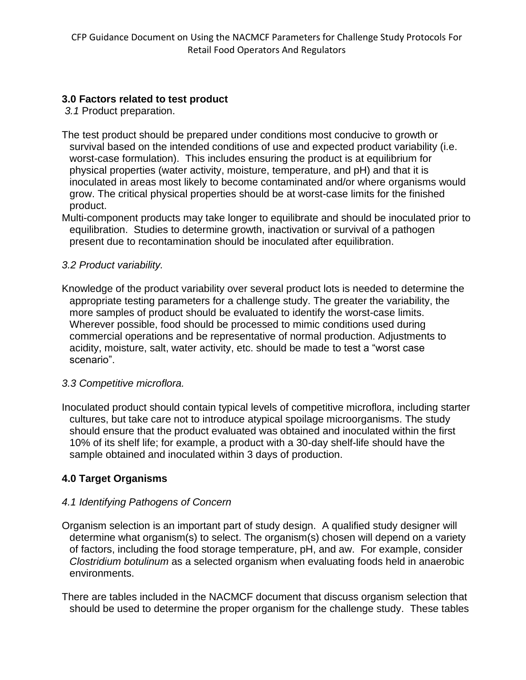# **3.0 Factors related to test product**

*3.1* Product preparation.

- The test product should be prepared under conditions most conducive to growth or survival based on the intended conditions of use and expected product variability (i.e. worst-case formulation). This includes ensuring the product is at equilibrium for physical properties (water activity, moisture, temperature, and pH) and that it is inoculated in areas most likely to become contaminated and/or where organisms would grow. The critical physical properties should be at worst-case limits for the finished product.
- Multi-component products may take longer to equilibrate and should be inoculated prior to equilibration. Studies to determine growth, inactivation or survival of a pathogen present due to recontamination should be inoculated after equilibration.

### *3.2 Product variability.*

Knowledge of the product variability over several product lots is needed to determine the appropriate testing parameters for a challenge study. The greater the variability, the more samples of product should be evaluated to identify the worst-case limits. Wherever possible, food should be processed to mimic conditions used during commercial operations and be representative of normal production. Adjustments to acidity, moisture, salt, water activity, etc. should be made to test a "worst case scenario".

#### *3.3 Competitive microflora.*

Inoculated product should contain typical levels of competitive microflora, including starter cultures, but take care not to introduce atypical spoilage microorganisms. The study should ensure that the product evaluated was obtained and inoculated within the first 10% of its shelf life; for example, a product with a 30-day shelf-life should have the sample obtained and inoculated within 3 days of production.

### **4.0 Target Organisms**

### *4.1 Identifying Pathogens of Concern*

Organism selection is an important part of study design. A qualified study designer will determine what organism(s) to select. The organism(s) chosen will depend on a variety of factors, including the food storage temperature, pH, and aw. For example, consider *Clostridium botulinum* as a selected organism when evaluating foods held in anaerobic environments.

There are tables included in the NACMCF document that discuss organism selection that should be used to determine the proper organism for the challenge study. These tables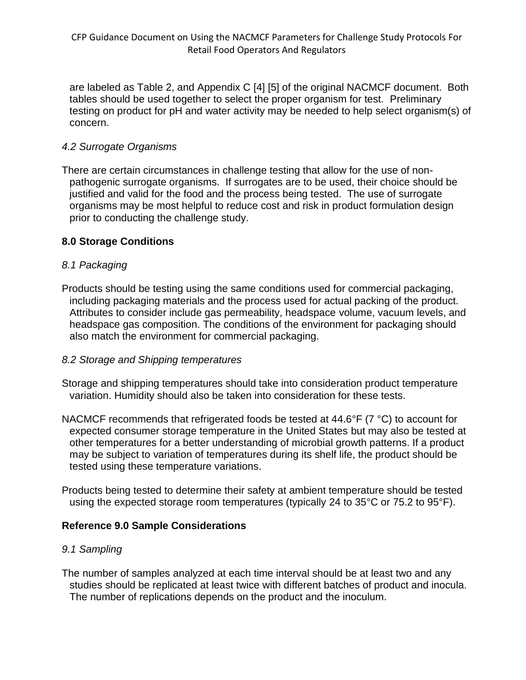are labeled as Table 2, and Appendix C [4] [5] of the original NACMCF document. Both tables should be used together to select the proper organism for test. Preliminary testing on product for pH and water activity may be needed to help select organism(s) of concern.

### *4.2 Surrogate Organisms*

There are certain circumstances in challenge testing that allow for the use of nonpathogenic surrogate organisms. If surrogates are to be used, their choice should be justified and valid for the food and the process being tested. The use of surrogate organisms may be most helpful to reduce cost and risk in product formulation design prior to conducting the challenge study.

### **8.0 Storage Conditions**

# *8.1 Packaging*

Products should be testing using the same conditions used for commercial packaging, including packaging materials and the process used for actual packing of the product. Attributes to consider include gas permeability, headspace volume, vacuum levels, and headspace gas composition. The conditions of the environment for packaging should also match the environment for commercial packaging.

### *8.2 Storage and Shipping temperatures*

- Storage and shipping temperatures should take into consideration product temperature variation. Humidity should also be taken into consideration for these tests.
- NACMCF recommends that refrigerated foods be tested at 44.6°F (7 °C) to account for expected consumer storage temperature in the United States but may also be tested at other temperatures for a better understanding of microbial growth patterns. If a product may be subject to variation of temperatures during its shelf life, the product should be tested using these temperature variations.
- Products being tested to determine their safety at ambient temperature should be tested using the expected storage room temperatures (typically 24 to 35°C or 75.2 to 95°F).

# **Reference 9.0 Sample Considerations**

### *9.1 Sampling*

The number of samples analyzed at each time interval should be at least two and any studies should be replicated at least twice with different batches of product and inocula. The number of replications depends on the product and the inoculum.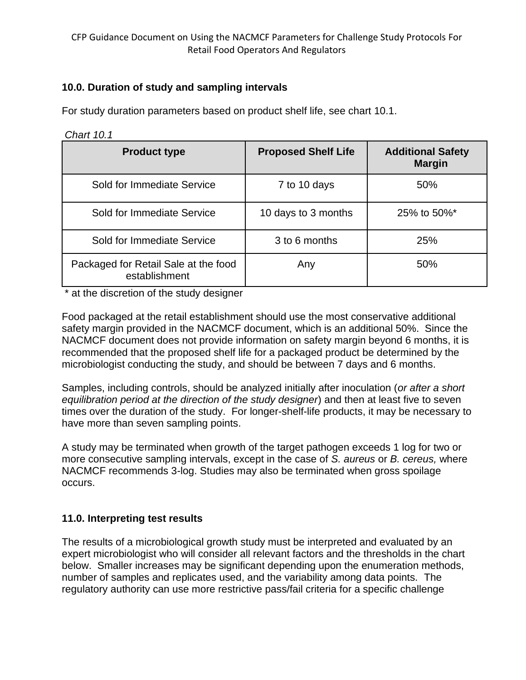# **10.0. Duration of study and sampling intervals**

For study duration parameters based on product shelf life, see chart 10.1.

*Chart 10.1*

| <b>Product type</b>                                   | <b>Proposed Shelf Life</b> | <b>Additional Safety</b><br><b>Margin</b> |
|-------------------------------------------------------|----------------------------|-------------------------------------------|
| Sold for Immediate Service                            | 7 to 10 days               | 50%                                       |
| Sold for Immediate Service                            | 10 days to 3 months        | 25% to 50%*                               |
| Sold for Immediate Service                            | 3 to 6 months              | 25%                                       |
| Packaged for Retail Sale at the food<br>establishment | Any                        | 50%                                       |

\* at the discretion of the study designer

Food packaged at the retail establishment should use the most conservative additional safety margin provided in the NACMCF document, which is an additional 50%. Since the NACMCF document does not provide information on safety margin beyond 6 months, it is recommended that the proposed shelf life for a packaged product be determined by the microbiologist conducting the study, and should be between 7 days and 6 months.

Samples, including controls, should be analyzed initially after inoculation (*or after a short equilibration period at the direction of the study designer*) and then at least five to seven times over the duration of the study. For longer-shelf-life products, it may be necessary to have more than seven sampling points.

A study may be terminated when growth of the target pathogen exceeds 1 log for two or more consecutive sampling intervals, except in the case of *S. aureus* or *B. cereus,* where NACMCF recommends 3-log. Studies may also be terminated when gross spoilage occurs.

### **11.0. Interpreting test results**

The results of a microbiological growth study must be interpreted and evaluated by an expert microbiologist who will consider all relevant factors and the thresholds in the chart below. Smaller increases may be significant depending upon the enumeration methods, number of samples and replicates used, and the variability among data points. The regulatory authority can use more restrictive pass/fail criteria for a specific challenge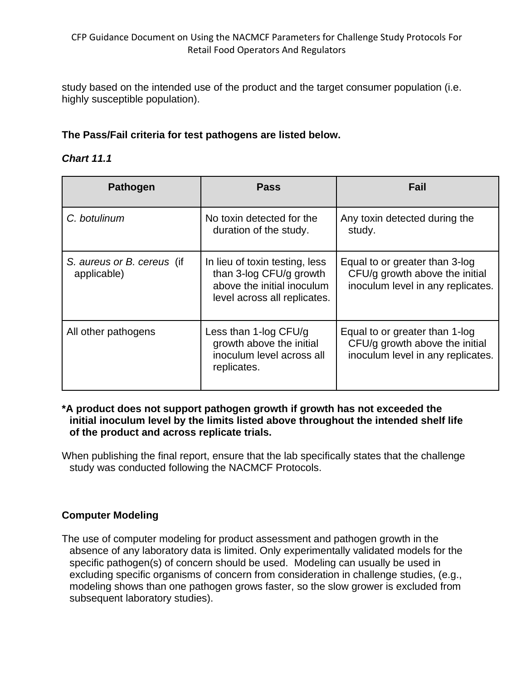study based on the intended use of the product and the target consumer population (i.e. highly susceptible population).

# **The Pass/Fail criteria for test pathogens are listed below.**

#### *Chart 11.1*

| <b>Pathogen</b>                           | <b>Pass</b>                                                                                                             | Fail                                                                                                  |
|-------------------------------------------|-------------------------------------------------------------------------------------------------------------------------|-------------------------------------------------------------------------------------------------------|
| C. botulinum                              | No toxin detected for the<br>duration of the study.                                                                     | Any toxin detected during the<br>study.                                                               |
| S. aureus or B. cereus (if<br>applicable) | In lieu of toxin testing, less<br>than 3-log CFU/g growth<br>above the initial inoculum<br>level across all replicates. | Equal to or greater than 3-log<br>CFU/g growth above the initial<br>inoculum level in any replicates. |
| All other pathogens                       | Less than 1-log $CFU/q$<br>growth above the initial<br>inoculum level across all<br>replicates.                         | Equal to or greater than 1-log<br>CFU/g growth above the initial<br>inoculum level in any replicates. |

#### **\*A product does not support pathogen growth if growth has not exceeded the initial inoculum level by the limits listed above throughout the intended shelf life of the product and across replicate trials.**

When publishing the final report, ensure that the lab specifically states that the challenge study was conducted following the NACMCF Protocols.

### **Computer Modeling**

The use of computer modeling for product assessment and pathogen growth in the absence of any laboratory data is limited. Only experimentally validated models for the specific pathogen(s) of concern should be used. Modeling can usually be used in excluding specific organisms of concern from consideration in challenge studies, (e.g., modeling shows than one pathogen grows faster, so the slow grower is excluded from subsequent laboratory studies).